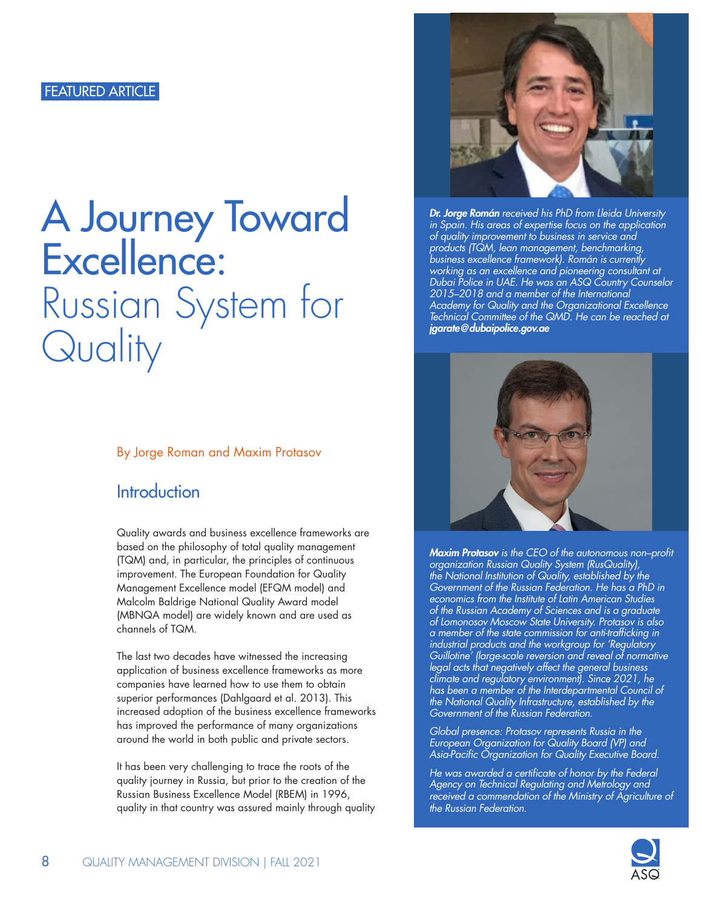#### FEATURED ARTICLE

# A Journey Toward Excellence: Russian System for **Quality**

#### By Jorge Roman and Maxim Protasov

## **Introduction**

Quality awards and business excellence frameworks are based on the philosophy of total quality management (TQM) and, in particular, the principles of continuous improvement. The European Foundation for Quality Management Excellence model (EFQM model) and Malcolm Baldrige National Quality Award model (MBNQA model) are widely known and are used as channels of TQM.

The last two decades have witnessed the increasing application of business excellence frameworks as more companies have learned how to use them to obtain superior performances (Dahlgaard et al. 2013). This increased adoption of the business excellence frameworks has improved the performance of many organizations around the world in both public and private sectors.

It has been very challenging to trace the roots of the quality journey in Russia, but prior to the creation of the Russian Business Excellence Model (RBEM) in 1996, quality in that country was assured mainly through quality



*Dr. Jorge Román received his PhD from Lleida University in Spain. His areas of expertise focus on the application of quality improvement to business in service and products (TQM, lean management, benchmarking, business excellence framework). Román is currently working as an excellence and pioneering consultant at Dubai Police in UAE. He was an ASQ Country Counselor 2015–2018 and a member of the International Academy for Quality and the Organizational Excellence Technical Committee of the QMD. He can be reached at jgarate@dubaipolice.gov.ae*



*Maxim Protasov is the CEO of the autonomous non–profit organization Russian Quality System (RusQuality), the National Institution of Quality, established by the Government of the Russian Federation. He has a PhD in economics from the Institute of Latin American Studies of the Russian Academy of Sciences and is a graduate of Lomonosov Moscow State University. Protasov is also a member of the state commission for anti-trafficking in industrial products and the workgroup for 'Regulatory Guillotine' (large-scale reversion and reveal of normative legal acts that negatively affect the general business climate and regulatory environment). Since 2021, he has been a member of the Interdepartmental Council of the National Quality Infrastructure, established by the Government of the Russian Federation.*

*Global presence: Protasov represents Russia in the European Organization for Quality Board (VP) and Asia-Pacific Organization for Quality Executive Board.*

*He was awarded a certificate of honor by the Federal Agency on Technical Regulating and Metrology and received a commendation of the Ministry of Agriculture of the Russian Federation.*

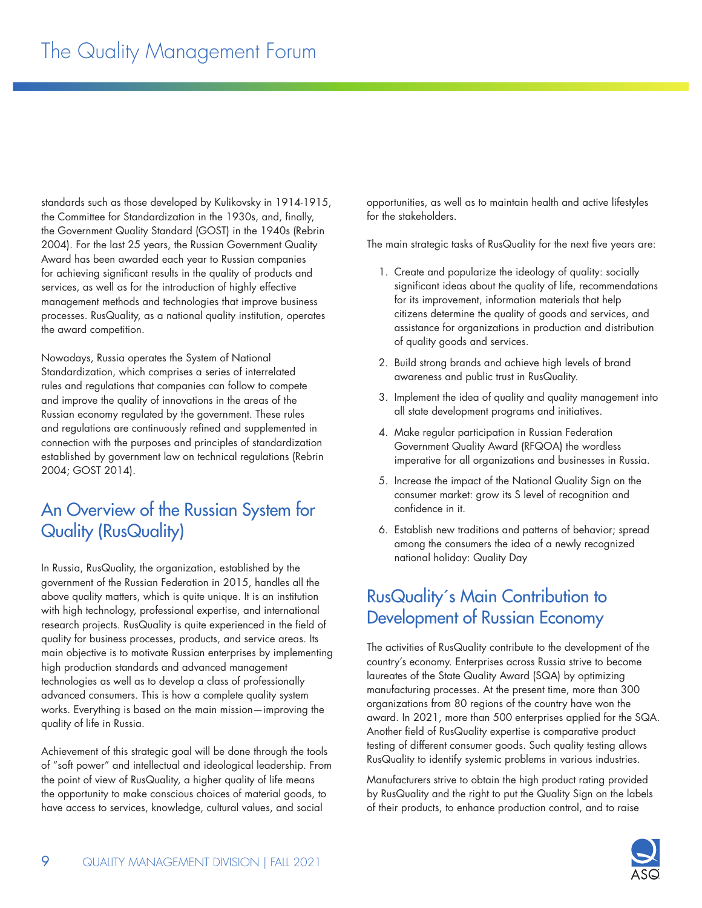standards such as those developed by Kulikovsky in 1914-1915, the Committee for Standardization in the 1930s, and, finally, the Government Quality Standard (GOST) in the 1940s (Rebrin 2004). For the last 25 years, the Russian Government Quality Award has been awarded each year to Russian companies for achieving significant results in the quality of products and services, as well as for the introduction of highly effective management methods and technologies that improve business processes. RusQuality, as a national quality institution, operates the award competition.

Nowadays, Russia operates the System of National Standardization, which comprises a series of interrelated rules and regulations that companies can follow to compete and improve the quality of innovations in the areas of the Russian economy regulated by the government. These rules and regulations are continuously refined and supplemented in connection with the purposes and principles of standardization established by government law on technical regulations (Rebrin 2004; GOST 2014).

## An Overview of the Russian System for Quality (RusQuality)

In Russia, RusQuality, the organization, established by the government of the Russian Federation in 2015, handles all the above quality matters, which is quite unique. It is an institution with high technology, professional expertise, and international research projects. RusQuality is quite experienced in the field of quality for business processes, products, and service areas. Its main objective is to motivate Russian enterprises by implementing high production standards and advanced management technologies as well as to develop a class of professionally advanced consumers. This is how a complete quality system works. Everything is based on the main mission—improving the quality of life in Russia.

Achievement of this strategic goal will be done through the tools of "soft power" and intellectual and ideological leadership. From the point of view of RusQuality, a higher quality of life means the opportunity to make conscious choices of material goods, to have access to services, knowledge, cultural values, and social

opportunities, as well as to maintain health and active lifestyles for the stakeholders.

The main strategic tasks of RusQuality for the next five years are:

- 1. Create and popularize the ideology of quality: socially significant ideas about the quality of life, recommendations for its improvement, information materials that help citizens determine the quality of goods and services, and assistance for organizations in production and distribution of quality goods and services.
- 2. Build strong brands and achieve high levels of brand awareness and public trust in RusQuality.
- 3. Implement the idea of quality and quality management into all state development programs and initiatives.
- 4. Make regular participation in Russian Federation Government Quality Award (RFQOA) the wordless imperative for all organizations and businesses in Russia.
- 5. Increase the impact of the National Quality Sign on the consumer market: grow its S level of recognition and confidence in it.
- 6. Establish new traditions and patterns of behavior; spread among the consumers the idea of a newly recognized national holiday: Quality Day

## RusQuality´s Main Contribution to Development of Russian Economy

The activities of RusQuality contribute to the development of the country's economy. Enterprises across Russia strive to become laureates of the State Quality Award (SQA) by optimizing manufacturing processes. At the present time, more than 300 organizations from 80 regions of the country have won the award. In 2021, more than 500 enterprises applied for the SQA. Another field of RusQuality expertise is comparative product testing of different consumer goods. Such quality testing allows RusQuality to identify systemic problems in various industries.

Manufacturers strive to obtain the high product rating provided by RusQuality and the right to put the Quality Sign on the labels of their products, to enhance production control, and to raise

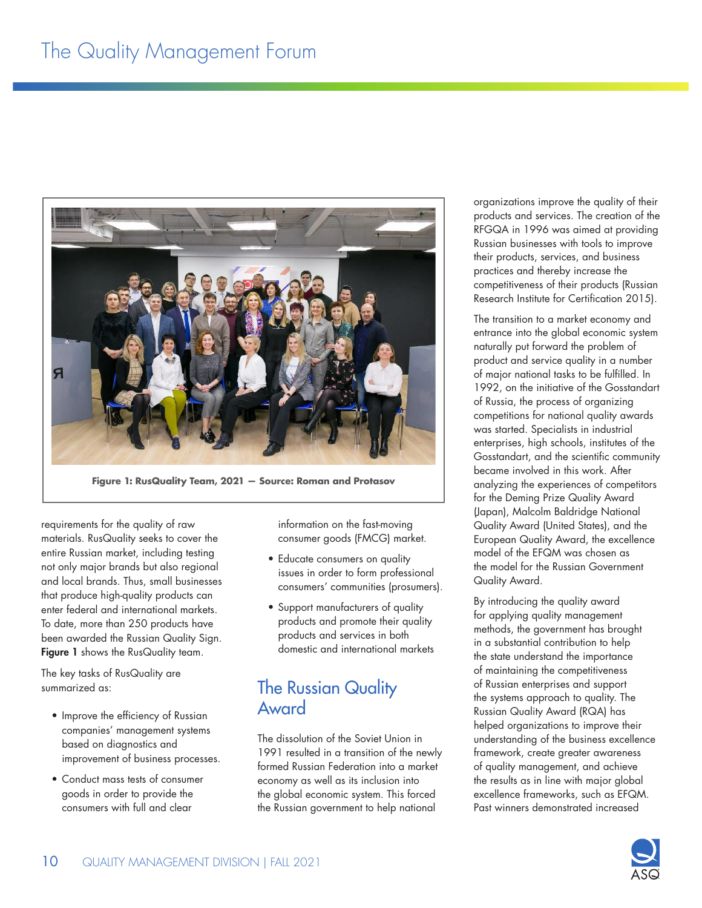

**Figure 1: RusQuality Team, 2021 — Source: Roman and Protasov**

requirements for the quality of raw materials. RusQuality seeks to cover the entire Russian market, including testing not only major brands but also regional and local brands. Thus, small businesses that produce high-quality products can enter federal and international markets. To date, more than 250 products have been awarded the Russian Quality Sign. Figure 1 shows the RusQuality team.

The key tasks of RusQuality are summarized as:

- Improve the efficiency of Russian companies' management systems based on diagnostics and improvement of business processes.
- Conduct mass tests of consumer goods in order to provide the consumers with full and clear

information on the fast-moving consumer goods (FMCG) market.

- Educate consumers on quality issues in order to form professional consumers' communities (prosumers).
- Support manufacturers of quality products and promote their quality products and services in both domestic and international markets

## The Russian Quality Award

The dissolution of the Soviet Union in 1991 resulted in a transition of the newly formed Russian Federation into a market economy as well as its inclusion into the global economic system. This forced the Russian government to help national

organizations improve the quality of their products and services. The creation of the RFGQA in 1996 was aimed at providing Russian businesses with tools to improve their products, services, and business practices and thereby increase the competitiveness of their products (Russian Research Institute for Certification 2015).

The transition to a market economy and entrance into the global economic system naturally put forward the problem of product and service quality in a number of major national tasks to be fulfilled. In 1992, on the initiative of the Gosstandart of Russia, the process of organizing competitions for national quality awards was started. Specialists in industrial enterprises, high schools, institutes of the Gosstandart, and the scientific community became involved in this work. After analyzing the experiences of competitors for the Deming Prize Quality Award (Japan), Malcolm Baldridge National Quality Award (United States), and the European Quality Award, the excellence model of the EFQM was chosen as the model for the Russian Government Quality Award.

By introducing the quality award for applying quality management methods, the government has brought in a substantial contribution to help the state understand the importance of maintaining the competitiveness of Russian enterprises and support the systems approach to quality. The Russian Quality Award (RQA) has helped organizations to improve their understanding of the business excellence framework, create greater awareness of quality management, and achieve the results as in line with major global excellence frameworks, such as EFQM. Past winners demonstrated increased

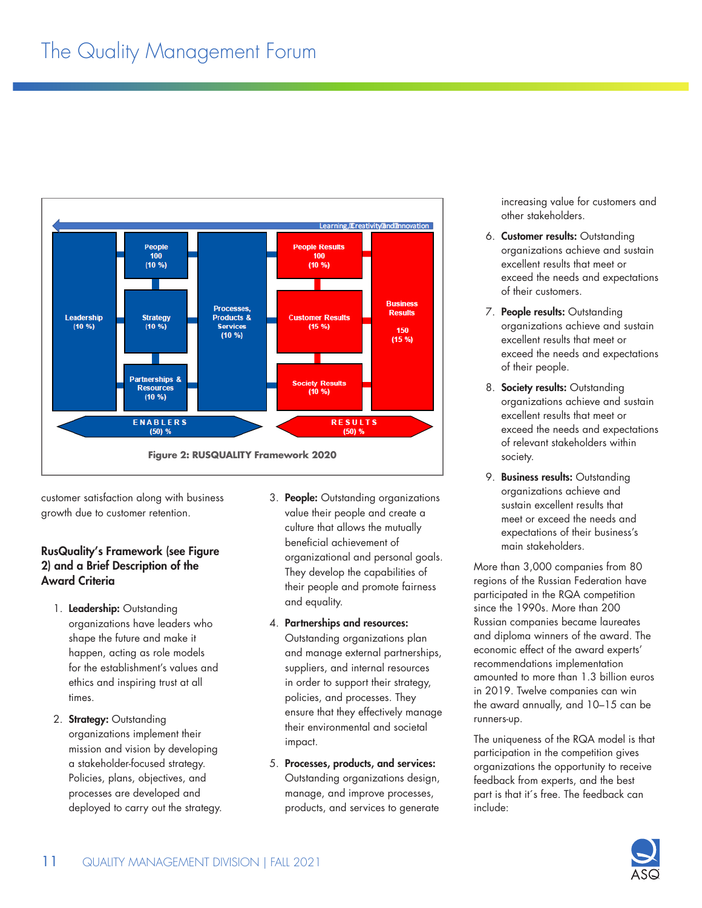

customer satisfaction along with business growth due to customer retention.

#### RusQuality's Framework (see Figure 2) and a Brief Description of the Award Criteria

- 1. Leadership: Outstanding organizations have leaders who shape the future and make it happen, acting as role models for the establishment's values and ethics and inspiring trust at all times.
- 2. **Strategy:** Outstanding organizations implement their mission and vision by developing a stakeholder-focused strategy. Policies, plans, objectives, and processes are developed and deployed to carry out the strategy.
- 3. People: Outstanding organizations value their people and create a culture that allows the mutually beneficial achievement of organizational and personal goals. They develop the capabilities of their people and promote fairness and equality.
- 4. Partnerships and resources:
	- Outstanding organizations plan and manage external partnerships, suppliers, and internal resources in order to support their strategy, policies, and processes. They ensure that they effectively manage their environmental and societal impact.
- 5. Processes, products, and services: Outstanding organizations design, manage, and improve processes, products, and services to generate

increasing value for customers and other stakeholders.

- 6. Customer results: Outstanding organizations achieve and sustain excellent results that meet or exceed the needs and expectations of their customers.
- 7. People results: Outstanding organizations achieve and sustain excellent results that meet or exceed the needs and expectations of their people.
- 8. Society results: Outstanding organizations achieve and sustain excellent results that meet or exceed the needs and expectations of relevant stakeholders within society.
- 9. Business results: Outstanding organizations achieve and sustain excellent results that meet or exceed the needs and expectations of their business's main stakeholders.

More than 3,000 companies from 80 regions of the Russian Federation have participated in the RQA competition since the 1990s. More than 200 Russian companies became laureates and diploma winners of the award. The economic effect of the award experts' recommendations implementation amounted to more than 1.3 billion euros in 2019. Twelve companies can win the award annually, and 10–15 can be runners-up.

The uniqueness of the RQA model is that participation in the competition gives organizations the opportunity to receive feedback from experts, and the best part is that it´s free. The feedback can include:

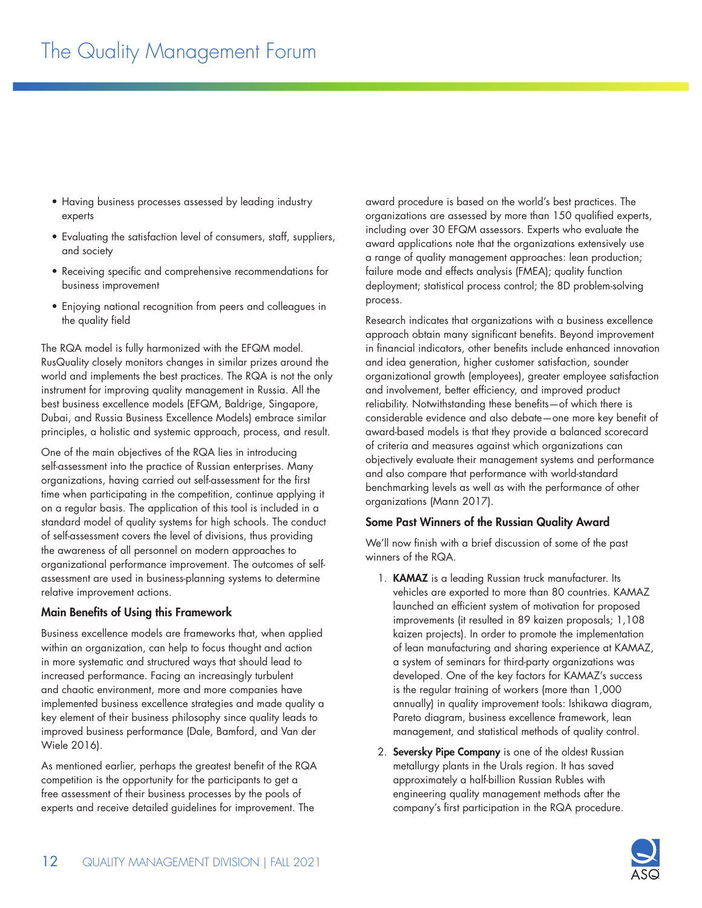- Having business processes assessed by leading industry experts
- Evaluating the satisfaction level of consumers, staff, suppliers, and society
- Receiving specific and comprehensive recommendations for business improvement
- Enjoying national recognition from peers and colleagues in the quality field

The RQA model is fully harmonized with the EFQM model. RusQuality closely monitors changes in similar prizes around the world and implements the best practices. The RQA is not the only instrument for improving quality management in Russia. All the best business excellence models (EFQM, Baldrige, Singapore, Dubai, and Russia Business Excellence Models) embrace similar principles, a holistic and systemic approach, process, and result.

One of the main objectives of the RQA lies in introducing self-assessment into the practice of Russian enterprises. Many organizations, having carried out self-assessment for the first time when participating in the competition, continue applying it on a regular basis. The application of this tool is included in a standard model of quality systems for high schools. The conduct of self-assessment covers the level of divisions, thus providing the awareness of all personnel on modern approaches to organizational performance improvement. The outcomes of selfassessment are used in business-planning systems to determine relative improvement actions.

#### Main Benefits of Using this Framework

Business excellence models are frameworks that, when applied within an organization, can help to focus thought and action in more systematic and structured ways that should lead to increased performance. Facing an increasingly turbulent and chaotic environment, more and more companies have implemented business excellence strategies and made quality a key element of their business philosophy since quality leads to improved business performance (Dale, Bamford, and Van der Wiele 2016).

As mentioned earlier, perhaps the greatest benefit of the RQA competition is the opportunity for the participants to get a free assessment of their business processes by the pools of experts and receive detailed guidelines for improvement. The

award procedure is based on the world's best practices. The organizations are assessed by more than 150 qualified experts, including over 30 EFQM assessors. Experts who evaluate the award applications note that the organizations extensively use a range of quality management approaches: lean production; failure mode and effects analysis (FMEA); quality function deployment; statistical process control; the 8D problem-solving process.

Research indicates that organizations with a business excellence approach obtain many significant benefits. Beyond improvement in financial indicators, other benefits include enhanced innovation and idea generation, higher customer satisfaction, sounder organizational growth (employees), greater employee satisfaction and involvement, better efficiency, and improved product reliability. Notwithstanding these benefits—of which there is considerable evidence and also debate—one more key benefit of award-based models is that they provide a balanced scorecard of criteria and measures against which organizations can objectively evaluate their management systems and performance and also compare that performance with world-standard benchmarking levels as well as with the performance of other organizations (Mann 2017).

#### Some Past Winners of the Russian Quality Award

We'll now finish with a brief discussion of some of the past winners of the RQA.

- 1. KAMAZ is a leading Russian truck manufacturer. Its vehicles are exported to more than 80 countries. KAMAZ launched an efficient system of motivation for proposed improvements (it resulted in 89 kaizen proposals; 1,108 kaizen projects). In order to promote the implementation of lean manufacturing and sharing experience at KAMAZ, a system of seminars for third-party organizations was developed. One of the key factors for KAMAZ's success is the regular training of workers (more than 1,000 annually) in quality improvement tools: Ishikawa diagram, Pareto diagram, business excellence framework, lean management, and statistical methods of quality control.
- 2. Seversky Pipe Company is one of the oldest Russian metallurgy plants in the Urals region. It has saved approximately a half-billion Russian Rubles with engineering quality management methods after the company's first participation in the RQA procedure.